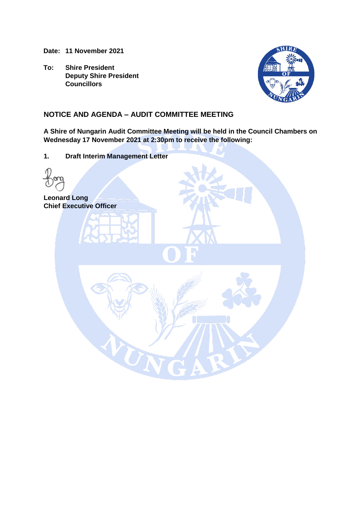**Date: 11 November 2021**

**To: Shire President Deputy Shire President Councillors**



## **NOTICE AND AGENDA – AUDIT COMMITTEE MEETING**

TN

**A Shire of Nungarin Audit Committee Meeting will be held in the Council Chambers on Wednesday 17 November 2021 at 2:30pm to receive the following:**

**1. Draft Interim Management Letter**

**Leonard Long Chief Executive Officer**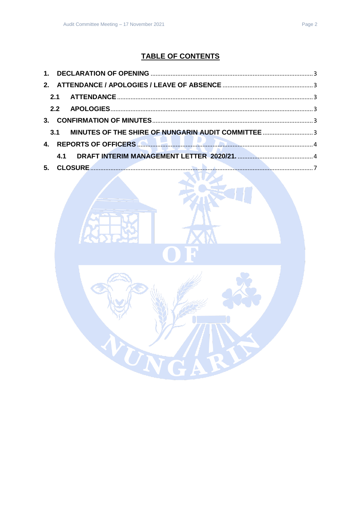# **TABLE OF CONTENTS**

|            | 4. REPORTS OF OFFICERS <b>AND RELEASE AND RELEASE OF A SECOND ACTION</b> |  |
|------------|--------------------------------------------------------------------------|--|
| <b>4.1</b> |                                                                          |  |
|            |                                                                          |  |

TN

R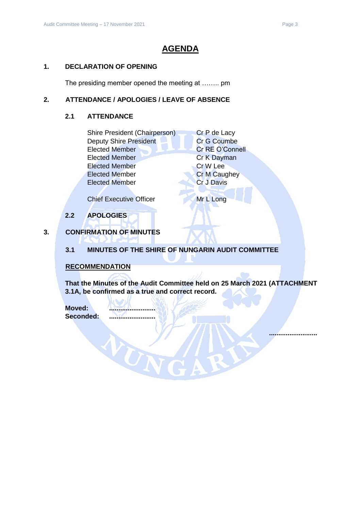# **AGENDA**

### <span id="page-2-0"></span>**1. DECLARATION OF OPENING**

The presiding member opened the meeting at …….. pm

### <span id="page-2-2"></span><span id="page-2-1"></span>**2. ATTENDANCE / APOLOGIES / LEAVE OF ABSENCE**

### **2.1 ATTENDANCE**

| Shire President (Chairperson) | Cr P de Lacy        |
|-------------------------------|---------------------|
| <b>Deputy Shire President</b> | Cr G Coumbe         |
| <b>Elected Member</b>         | Cr RE O'Connell     |
| <b>Elected Member</b>         | Cr K Dayman         |
| <b>Elected Member</b>         | Cr W Lee            |
| <b>Elected Member</b>         | <b>Cr M Caughey</b> |
| <b>Elected Member</b>         | <b>Cr J Davis</b>   |
|                               |                     |

Chief Executive Officer Mr L Long

**2.2 APOLOGIES**

### <span id="page-2-4"></span><span id="page-2-3"></span>**3. CONFIRMATION OF MINUTES**

### <span id="page-2-5"></span>**3.1 MINUTES OF THE SHIRE OF NUNGARIN AUDIT COMMITTEE**

### **RECOMMENDATION**

**That the Minutes of the Audit Committee held on 25 March 2021 (ATTACHMENT 3.1A, be confirmed as a true and correct record.**

**Moved: ......................... Seconded: .........................**

WUN

**..........................**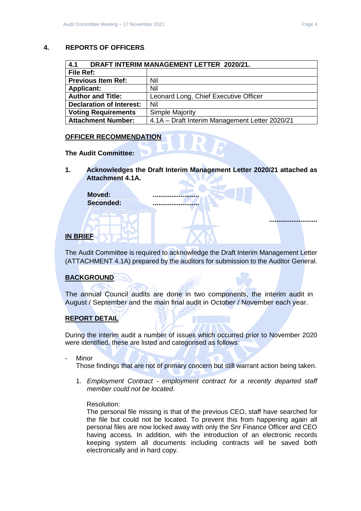### <span id="page-3-0"></span>**4. REPORTS OF OFFICERS**

<span id="page-3-1"></span>

| 4.1<br>DRAFT INTERIM MANAGEMENT LETTER 2020/21. |                                                |  |  |  |
|-------------------------------------------------|------------------------------------------------|--|--|--|
| File Ref:                                       |                                                |  |  |  |
| <b>Previous Item Ref:</b>                       | Nil                                            |  |  |  |
| <b>Applicant:</b>                               | Nil                                            |  |  |  |
| <b>Author and Title:</b>                        | Leonard Long, Chief Executive Officer          |  |  |  |
| <b>Declaration of Interest:</b>                 | Nil                                            |  |  |  |
| <b>Voting Requirements</b>                      | <b>Simple Majority</b>                         |  |  |  |
| <b>Attachment Number:</b>                       | 4.1A - Draft Interim Management Letter 2020/21 |  |  |  |

#### **OFFICER RECOMMENDATION**

#### **The Audit Committee:**

**1. Acknowledges the Draft Interim Management Letter 2020/21 attached as Attachment 4.1A.**

Moved: **Seconded: .........................**

### **IN BRIEF**

The Audit Committee is required to acknowledge the Draft Interim Management Letter (ATTACHMENT 4.1A) prepared by the auditors for submission to the Auditor General.

### **BACKGROUND**

The annual Council audits are done in two components, the interim audit in August / September and the main final audit in October / November each year.

### **REPORT DETAIL**

During the interim audit a number of issues which occurred prior to November 2020 were identified, these are listed and categorised as follows:

Minor

Those findings that are not of primary concern but still warrant action being taken.

1. *Employment Contract - employment contract for a recently departed staff member could not be located*.

#### Resolution:

The personal file missing is that of the previous CEO, staff have searched for the file but could not be located. To prevent this from happening again all personal files are now locked away with only the Snr Finance Officer and CEO having access. In addition, with the introduction of an electronic records keeping system all documents including contracts will be saved both electronically and in hard copy.

**..........................**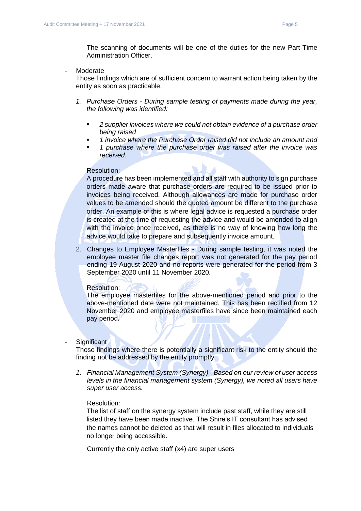The scanning of documents will be one of the duties for the new Part-Time Administration Officer.

- Moderate

Those findings which are of sufficient concern to warrant action being taken by the entity as soon as practicable.

- *1. Purchase Orders - During sample testing of payments made during the year, the following was identified:* 
	- *2 supplier invoices where we could not obtain evidence of a purchase order being raised*
	- *1 invoice where the Purchase Order raised did not include an amount and*
	- *1 purchase where the purchase order was raised after the invoice was received.*

#### Resolution:

A procedure has been implemented and all staff with authority to sign purchase orders made aware that purchase orders are required to be issued prior to invoices being received. Although allowances are made for purchase order values to be amended should the quoted amount be different to the purchase order. An example of this is where legal advice is requested a purchase order is created at the time of requesting the advice and would be amended to align with the invoice once received, as there is no way of knowing how long the advice would take to prepare and subsequently invoice amount.

2. Changes to Employee Masterfiles - During sample testing, it was noted the employee master file changes report was not generated for the pay period ending 19 August 2020 and no reports were generated for the period from 3 September 2020 until 11 November 2020.

#### Resolution:

The employee masterfiles for the above-mentioned period and prior to the above-mentioned date were not maintained. This has been rectified from 12 November 2020 and employee masterfiles have since been maintained each pay period**.**

#### Significant

Those findings where there is potentially a significant risk to the entity should the finding not be addressed by the entity promptly.

*1. Financial Management System (Synergy) - Based on our review of user access levels in the financial management system (Synergy), we noted all users have super user access.*

#### Resolution:

The list of staff on the synergy system include past staff, while they are still listed they have been made inactive. The Shire's IT consultant has advised the names cannot be deleted as that will result in files allocated to individuals no longer being accessible.

Currently the only active staff (x4) are super users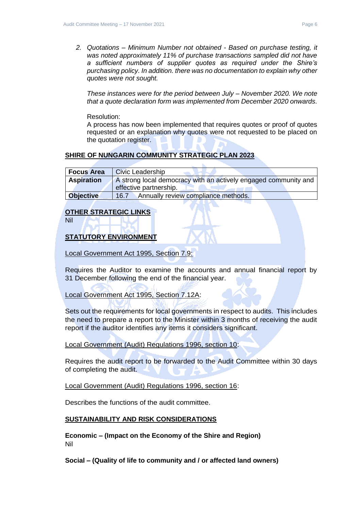*2. Quotations – Minimum Number not obtained - Based on purchase testing, it was noted approximately 11% of purchase transactions sampled did not have a sufficient numbers of supplier quotes as required under the Shire's purchasing policy. In addition. there was no documentation to explain why other quotes were not sought.* 

*These instances were for the period between July – November 2020. We note that a quote declaration form was implemented from December 2020 onwards.*

Resolution:

A process has now been implemented that requires quotes or proof of quotes requested or an explanation why quotes were not requested to be placed on the quotation register.

### **SHIRE OF NUNGARIN COMMUNITY STRATEGIC PLAN 2023**

| <b>Focus Area</b> | Civic Leadership                                                |
|-------------------|-----------------------------------------------------------------|
| <b>Aspiration</b> | A strong local democracy with an actively engaged community and |
|                   | effective partnership.                                          |
| <b>Objective</b>  | Annually review compliance methods.<br>16.7                     |

### **OTHER STRATEGIC LINKS**

Nil

### **STATUTORY ENVIRONMENT**

Local Government Act 1995, Section 7.9:

Requires the Auditor to examine the accounts and annual financial report by 31 December following the end of the financial year.

Local Government Act 1995, Section 7.12A:

Sets out the requirements for local governments in respect to audits. This includes the need to prepare a report to the Minister within 3 months of receiving the audit report if the auditor identifies any items it considers significant.

Local Government (Audit) Regulations 1996, section 10:

Requires the audit report to be forwarded to the Audit Committee within 30 days of completing the audit.

Local Government (Audit) Regulations 1996, section 16:

Describes the functions of the audit committee.

### **SUSTAINABILITY AND RISK CONSIDERATIONS**

**Economic – (Impact on the Economy of the Shire and Region)** Nil

**Social – (Quality of life to community and / or affected land owners)**